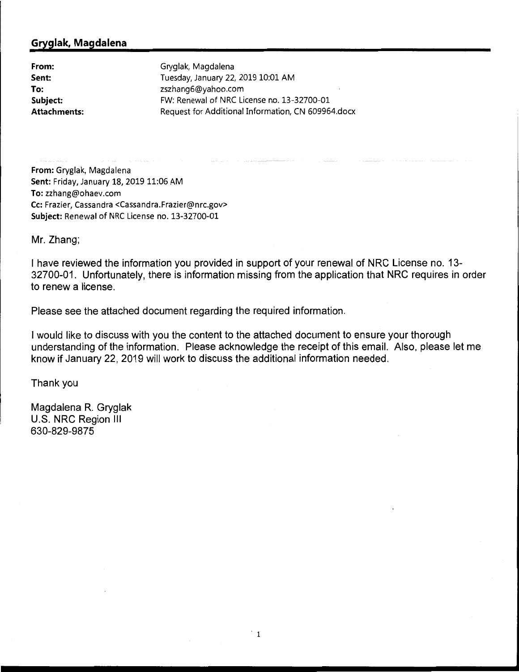## **Gryglak, Magdalena**

**From: Sent: To: Subject: Attachments:**  Gryglak, Magdalena Tuesday, January 22, 2019 10:01 AM zszhang6@yahoo.com FW: Renewal of NRC License no. 13-32700-01 Request for Additional Information, CN 609964.docx

**From:** Gryglak, Magdalena **Sent:** Friday, January 18, 2019 11:06 AM **To:** zzhang@ohaev.com **Cc:** Frazier, Cassandra <Cassandra.Frazier@nrc.gov> **Subject:** Renewal of NRC License no. 13-32700-01

Mr. Zhang;

I have reviewed the information you provided in support of your renewal of NRC License no. 13- 32700-01. Unfortunately, there is information missing from the application that NRC requires in order to renew a license.

Please see the attached document regarding the required information.

I would like to discuss with you the content to the attached document to ensure your thorough understanding of the information. Please acknowledge the receipt of this email. Also, please let me know if January 22, 2019 will work to discuss the additional information needed.

Thank you

Magdalena R. Gryglak U.S. NRC Region Ill 630-829-9875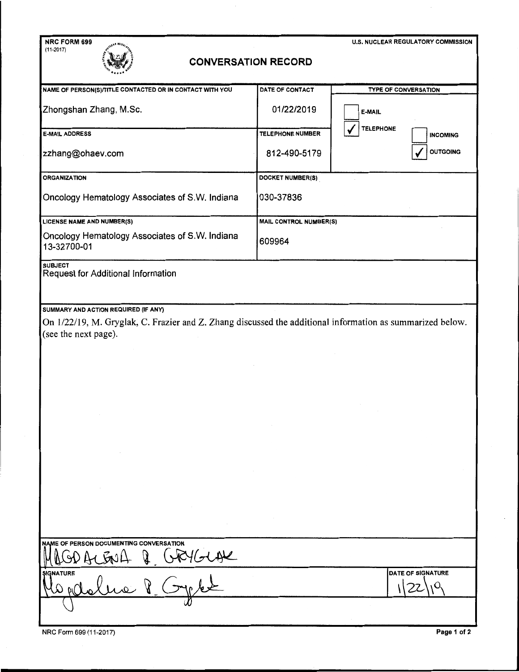| NRC FORM 699                                                                                                                      |                               | <b>U.S. NUCLEAR REGULATORY COMMISSION</b> |
|-----------------------------------------------------------------------------------------------------------------------------------|-------------------------------|-------------------------------------------|
| $(11 - 2017)$<br><b>CONVERSATION RECORD</b>                                                                                       |                               |                                           |
| NAME OF PERSON(S)/TITLE CONTACTED OR IN CONTACT WITH YOU                                                                          | DATE OF CONTACT               | <b>TYPE OF CONVERSATION</b>               |
| Zhongshan Zhang, M.Sc.                                                                                                            | 01/22/2019                    | E-MAIL                                    |
| <b>E-MAIL ADDRESS</b>                                                                                                             | <b>TELEPHONE NUMBER</b>       | <b>TELEPHONE</b><br><b>INCOMING</b>       |
| zzhang@ohaev.com                                                                                                                  | 812-490-5179                  | <b>OUTGOING</b>                           |
| <b>ORGANIZATION</b>                                                                                                               | DOCKET NUMBER(S)              |                                           |
| Oncology Hematology Associates of S.W. Indiana                                                                                    | 030-37836                     |                                           |
| <b>LICENSE NAME AND NUMBER(S)</b>                                                                                                 | <b>MAIL CONTROL NUMBER(S)</b> |                                           |
| Oncology Hematology Associates of S.W. Indiana<br>13-32700-01                                                                     | 609964                        |                                           |
| <b>SUBJECT</b><br>Request for Additional Information<br>SUMMARY AND ACTION REQUIRED (IF ANY)                                      |                               |                                           |
| On 1/22/19, M. Gryglak, C. Frazier and Z. Zhang discussed the additional information as summarized below.<br>(see the next page). |                               |                                           |
| NAME OF PERSON DOCUMENTING CONVERSATION                                                                                           |                               |                                           |
|                                                                                                                                   |                               |                                           |
| GRYGLAR<br><b>SIGNATURE</b>                                                                                                       |                               | DATE OF SIGNATURE                         |

NRC Form 699 (11-2017) **Page 1 of 2**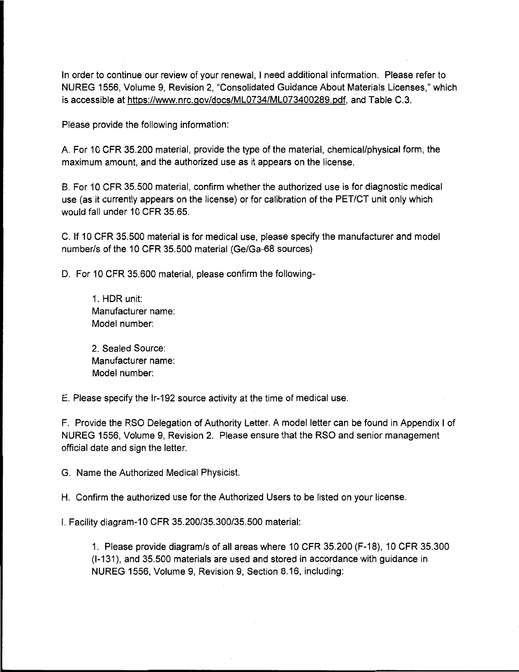In order to continue our review of your renewal, I need additional information. Please refer to NUREG 1556, Volume 9, Revision 2, "Consolidated Guidance About Materials Licenses," which is accessible at https://www.nrc.gov/docs/ML0734/ML073400289.pdf, and Table C.3.

Please provide the following information:

A. For 10 CFR 35.200 material, provide the type of the material, chemical/physical form, the maximum amount, and the authorized use as it appears on the license.

B. For 10 CFR 35.500 material, confirm whether the authorized use is for diagnostic medical use (as it currently appears on the license) or for calibration of the PET/CT unit only which would fall under 10 CFR 35.65.

C. If 10 CFR 35.500 material is for medical use, please specify the manufacturer and model number/s of the 10 CFR 35.500 material (Ge/Ga-68 sources)

D. For 10 CFR 35.600 material, please confirm the following-

1. HOR unit: Manufacturer name: Model number:

2. Sealed Source: Manufacturer name: Model number:

E. Please specify the lr-192 source activity at the time of medical use.

F. Provide the RSO Delegation of Authority Letter. A model letter can be found in Appendix I of NUREG 1556, Volume 9, Revision 2. Please ensure that the RSO and senior management official date and sign the letter.

G. Name the Authorized Medical Physicist.

H. Confirm the authorized use for the Authorized Users to be listed on your license.

I. Facility diagram-10 CFR 35.200/35.300/35.500 material:

1. Please provide diagram/s of all areas where 10 CFR 35.200 (F-18), 10 CFR 35.300 (1-131), and 35.500 materials are used and stored in accordance with guidance in NUREG 1556, Volume 9, Revision 9, Section 8.16, including: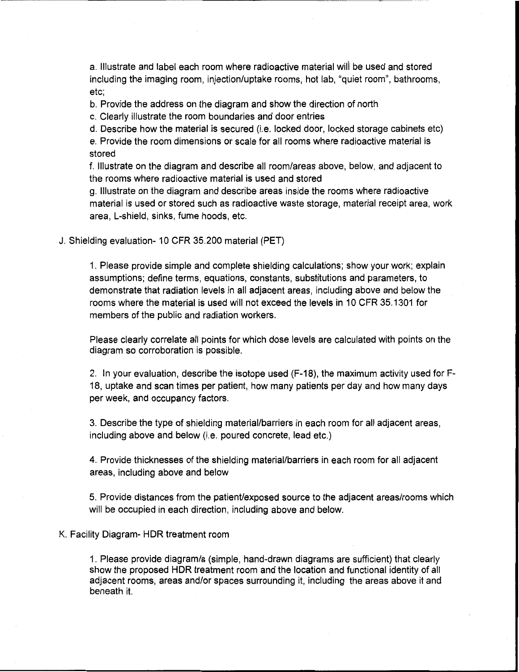a. Illustrate and label each room where radioactive material wili be used and stored including the imaging room, injection/uptake rooms, hot lab, "quiet room", bathrooms, etc;

b. Provide the address on the diagram and show the direction of north

c. Clearly illustrate the room boundaries and door entries

d. Describe how the material is secured (i.e. locked door, locked storage cabinets etc) e. Provide the room dimensions or scale for all rooms where radioactive material is stored

f. Illustrate on the diagram and describe all room/areas above, below, and adjacent to the rooms where radioactive material is used and stored

g. Illustrate on the diagram and describe areas inside the rooms where radioactive material is used or stored such as radioactive waste storage, material receipt area, work area, L-shield, sinks, fume hoods, etc.

J. Shielding evaluation- 10 CFR 35.200 material (PET)

1. Please provide simple and complete shielding calculations; show your work; explain assumptions; define terms, equations, constants, substitutions and parameters, to demonstrate that radiation levels in all adjacent areas, including above and below the rooms where the material is used will not exceed the levels in 10 CFR 35.1301 for members of the public and radiation workers.

Please clearly correlate all points for which dose levels are calculated with points on the diagram so corroboration is possible.

2. In your evaluation, describe the isotope used (F-18), the maximum activity used for F-18, uptake and scan times per patient, how many patients per day and how many days per week, and occupancy factors.

3. Describe the type of shielding material/barriers in each room for all adjacent areas, including above and below (i.e. poured concrete, lead etc.)

4. Provide thicknesses of the shielding material/barriers in each room for all adjacent areas, including above and below

5. Provide distances from the patient/exposed source to the adjacent areas/rooms which will be occupied in each direction, including above and below.

## K. Facility Diagram- HOR treatment room

1. Please provide diagram/s (simple, hand-drawn diagrams are sufficient) that clearly show the proposed HOR treatment room and the location and functional identity of all adjacent rooms, areas and/or spaces surrounding it, including the areas above it and beneath it.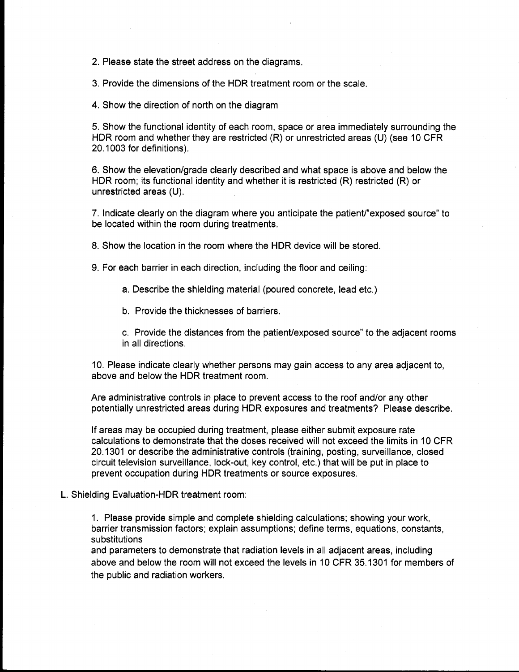2. Please state the street address on the diagrams.

3. Provide the dimensions of the HOR treatment room or the scale.

4. Show the direction of north on the diagram

5. Show the functional identity of each room, space or area immediately surrounding the HOR room and whether they are restricted (R) or unrestricted areas (U) (see 10 CFR 20.1003 for definitions).

6. Show the elevation/grade clearly described and what space is above and below the HOR room; its functional identity and whether it is restricted (R) restricted (R) or unrestricted areas (U).

7. Indicate clearly on the diagram where you anticipate the patient/"exposed source" to be located within the room during treatments.

8. Show the location in the room where the HOR device will be stored.

9. For each barrier in each direction, including the floor and ceiling:

a. Describe the shielding material (poured concrete, lead etc.)

b. Provide the thicknesses of barriers.

c. Provide the distances from the patient/exposed source" to the adjacent rooms in all directions.

10. Please indicate clearly whether persons may gain access to any area adjacent to, above and below the HOR treatment room.

Are administrative controls in place to prevent access to the roof and/or any other potentially unrestricted areas during HOR exposures and treatments? Please describe.

If areas may be occupied during treatment, please either submit exposure rate calculations to demonstrate that the doses received will not exceed the limits in 10 CFR 20.1301 or describe the administrative controls (training, posting, surveillance, closed circuit television surveillance, lock-out, key control, etc.) that will be put in place to prevent occupation during HOR treatments or source exposures.

## L. Shielding Evaluation-HOR treatment room:

1. Please provide simple and complete shielding calculations; showing your work, barrier transmission factors; explain assumptions; define terms, equations, constants, substitutions

and parameters to demonstrate that radiation levels in all adjacent areas, including above and below the room will not exceed the levels in 10 CFR 35.1301 for members of the public and radiation workers.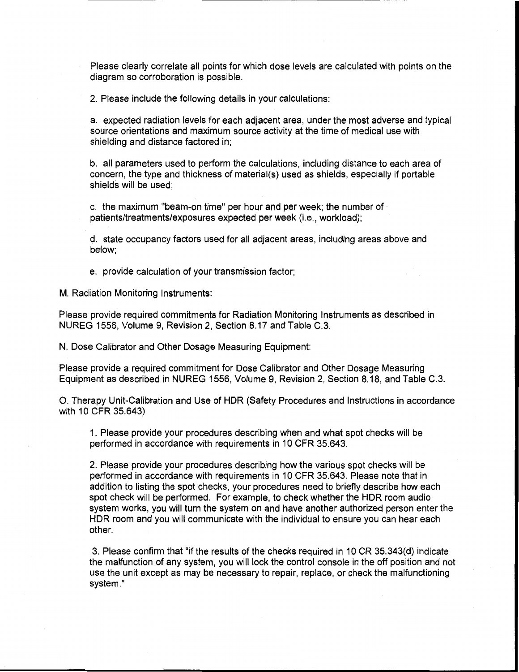Please clearly correlate all points for which dose levels are calculated with points on the diagram so corroboration is possible.

2. Please include the following details in your calculations:

a. expected radiation levels for each adjacent area, under the most adverse and typical source orientations and maximum source activity at the time of medical use with shielding and distance factored in;

b. all parameters used to perform the calculations, including distance to each area of concern, the type and thickness of material(s) used as shields, especially if portable shields will be used;

c. the maximum "beam-on time" per hour and per week; the number of · patients/treatments/exposures expected per week (i.e., workload);

d. state occupancy factors used for all adjacent areas, including areas above and below;

e. provide calculation of your transmission factor;

M. Radiation Monitoring Instruments:

Please provide required commitments for Radiation Monitoring Instruments as described in NUREG 1556, Volume 9, Revision 2, Section 8.17 and Table C.3.

N. Dose Calibrator and Other Dosage Measuring Equipment:

Please provide a required commitment for Dose Calibrator and Other Dosage Measuring Equipment as described in NUREG 1556, Volume 9, Revision 2, Section 8.18, and Table C.3.

0. Therapy Unit-Calibration and Use of HOR (Safety Procedures and Instructions in accordance with 10 CFR 35.643)

1. Please provide your procedures describing when and what spot checks will be performed in accordance with requirements in 10 CFR 35.643.

2. Please provide your procedures describing how the various spot checks will be performed in accordance with requirements in 10 CFR 35.643. Please note that in addition to listing the spot checks, your procedures need to briefly describe how each spot check will be performed. For example, to check whether the HOR room audio system works, you will turn the system on and have another authorized person enter the HOR room and you will communicate with the individual to ensure you can hear each other.

3. Please confirm that "if the results of the checks required in 10 CR 35.343(d) indicate the malfunction of any system, you will lock the control console in the off position and not use the unit except as may be necessary to repair, replace, or check the malfunctioning system."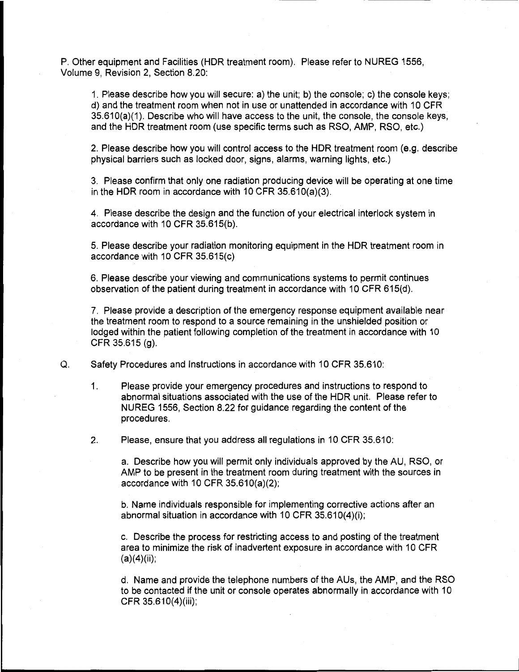P. Other equipment and Facilities (HOR treatment room). Please refer to NU REG 1556, Volume 9, Revision 2, Section 8.20:

1. Please describe how you will secure: a) the unit; b) the console; c) the console keys; d) and the treatment room when not in use or unattended in accordance with 10 CFR 35.610(a)(1). Describe who will have access to the unit, the console, the console keys, and the HOR treatment room (use specific terms such as RSO, AMP, RSO, etc.)

2. Please describe how you will control access to the HOR treatment room (e.g. describe physical barriers such as locked door, signs, alarms, warning lights, etc.)

3. Please confirm that only one radiation producing device will be operating at one time in the HDR room in accordance with 10 CFR  $35.610(a)(3)$ .

4. Please describe the design and the function of your electrical interlock system in accordance with 10 CFR 35.615(b).

5. Please describe your radiation monitoring equipment in the HOR treatment room in accordance with 10 CFR 35.615(c)

6. Please describe your viewing and communications systems to permit continues observation of the patient during treatment in accordance with 10 CFR 615(d).

7. Please provide a description of the emergency response equipment available near the treatment room to respond to a source remaining in the unshielded position or lodged within the patient following completion of the treatment in accordance with 10 CFR 35.615 (g).

Q. Safety Procedures and Instructions in accordance with 10 CFR 35.610:

1. Please provide your emergency procedures and instructions to respond to abnormal situations associated with the use of the HOR unit. Please refer to NUREG 1556, Section 8.22 for guidance regarding the content of the procedures.

2. Please, ensure that you address all regulations in 10 CFR 35.610:

a. Describe how you will permit only individuals approved by the AU, RSO, or AMP to be present in the treatment room during treatment with the sources in accordance with 10 CFR  $35.610(a)(2)$ ;

b. Name individuals responsible for implementing corrective actions after an abnormal situation in accordance with 10 CFR 35.610(4)(i);

c. Describe the process for restricting access to and posting of the treatment area to minimize the risk of inadvertent exposure in accordance with 10 CFR  $(a)(4)(ii)$ ;

d. Name and provide the telephone numbers of the AUs, the AMP, and the RSO to be contacted if the unit or console operates abnormally in accordance with 10 CFR 35.610(4)(iii);